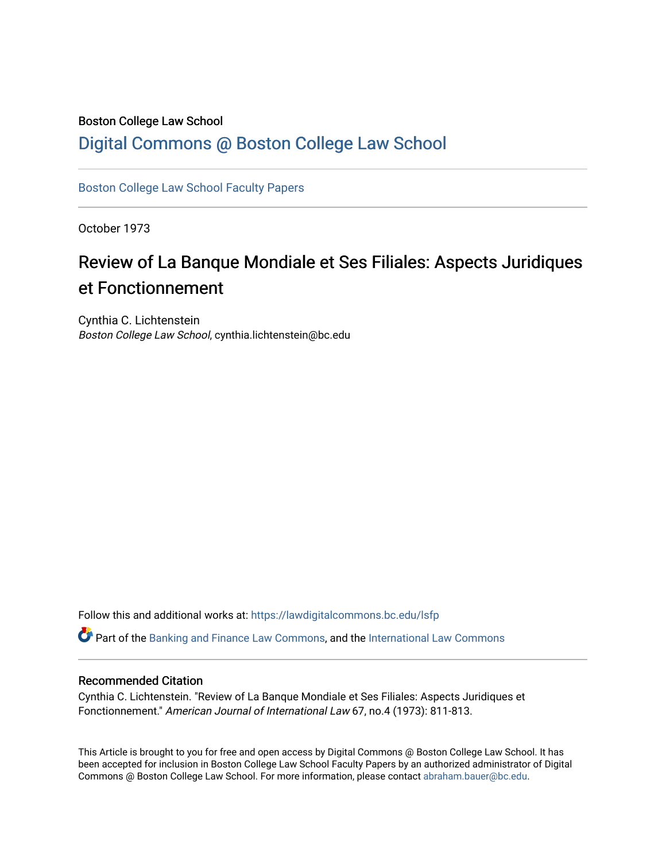## Boston College Law School [Digital Commons @ Boston College Law School](https://lawdigitalcommons.bc.edu/)

[Boston College Law School Faculty Papers](https://lawdigitalcommons.bc.edu/lsfp) 

October 1973

# Review of La Banque Mondiale et Ses Filiales: Aspects Juridiques et Fonctionnement

Cynthia C. Lichtenstein Boston College Law School, cynthia.lichtenstein@bc.edu

Follow this and additional works at: [https://lawdigitalcommons.bc.edu/lsfp](https://lawdigitalcommons.bc.edu/lsfp?utm_source=lawdigitalcommons.bc.edu%2Flsfp%2F830&utm_medium=PDF&utm_campaign=PDFCoverPages) 

Part of the [Banking and Finance Law Commons,](http://network.bepress.com/hgg/discipline/833?utm_source=lawdigitalcommons.bc.edu%2Flsfp%2F830&utm_medium=PDF&utm_campaign=PDFCoverPages) and the [International Law Commons](http://network.bepress.com/hgg/discipline/609?utm_source=lawdigitalcommons.bc.edu%2Flsfp%2F830&utm_medium=PDF&utm_campaign=PDFCoverPages)

### Recommended Citation

Cynthia C. Lichtenstein. "Review of La Banque Mondiale et Ses Filiales: Aspects Juridiques et Fonctionnement." American Journal of International Law 67, no.4 (1973): 811-813.

This Article is brought to you for free and open access by Digital Commons @ Boston College Law School. It has been accepted for inclusion in Boston College Law School Faculty Papers by an authorized administrator of Digital Commons @ Boston College Law School. For more information, please contact [abraham.bauer@bc.edu.](mailto:abraham.bauer@bc.edu)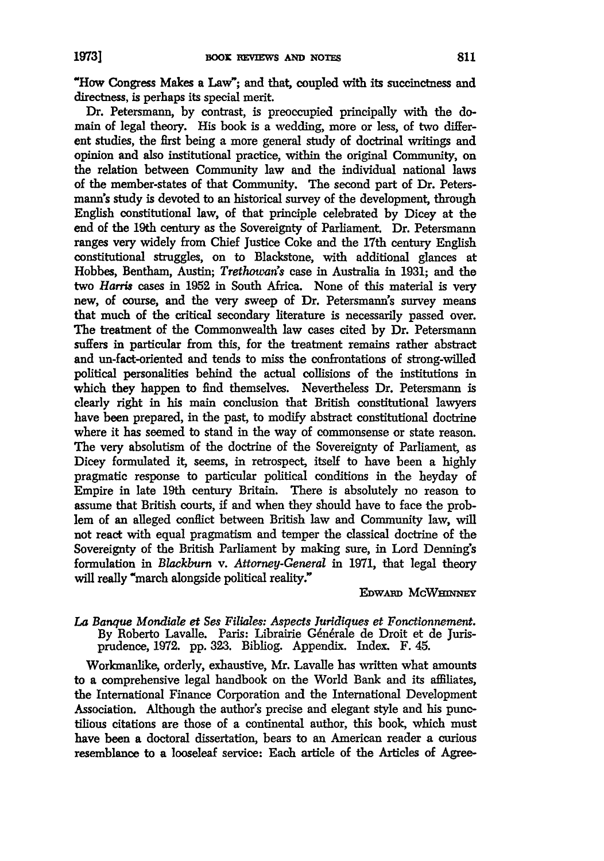"How Congress Makes a Law"; and that coupled with its succinctness and directness, is perhaps its special merit.

Dr. Petersmann, **by** contrast, is preoccupied principally with the domain of legal theory. His book is a wedding, more or less, of two different studies, the first being a more general study of doctrinal writings and opinion and also institutional practice, within the original Community, on the relation between Community law and the individual national laws of the member-states of that Community. The second part of Dr. Peters**mann's** study is devoted to an historical survey of the development, through English constitutional law, of that principle celebrated **by** Dicey at the end of the 19th century as the Sovereignty of Parliament. Dr. Petersmann ranges very widely from Chief Justice Coke and the 17th century English constitutional struggles, on to Blackstone, with additional glances at Hobbes, Bentham, Austin; *Trethowan's* case in Australia in 1931; and the two *Harris* cases in **1952** in South Africa. None of this material is very new, of course, and the very sweep of Dr. Petersmann's survey means that much of the critical secondary literature is necessarily passed over. The treatment of the Commonwealth law cases cited by Dr. Petersmann suffers in particular from this, for the treatment remains rather abstract and un-fact-oriented and tends to miss the confrontations of strong-willed political personalities behind the actual collisions of the institutions in which they happen to find themselves. Nevertheless Dr. Petersmann is clearly right in his main conclusion that British constitutional lawyers have been prepared, in the past, to modify abstract constitutional doctrine where it has seemed to stand in the way of commonsense or state reason. The very absolutism of the doctrine of the Sovereignty of Parliament, as Dicey formulated it, seems, in retrospect, itself to have been a highly pragmatic response to particular political conditions in the heyday of Empire in late 19th century Britain. There is absolutely no reason to assume that British courts, if and when they should have to face the problem of an alleged conflict between British law and Community law, will not react with equal pragmatism and temper the classical doctrine of the Sovereignty of the British Parliament by making sure, in Lord Denning's formulation in *Blackburn* v. *Attorney-General* in 1971, that legal theory will really "march alongside political reality."

#### **EDWARD MCWHINNEY**

#### *La Banque Mondiale et Ses Filiales: Aspects Juridiques et Fonctionnement.* By Roberto Lavalle. Paris: Librairie Générale de Droit et de Jurisprudence, 1972. pp. 323. Bibliog. Appendix. Index. F. 45.

Workmanlike, orderly, exhaustive, Mr. Lavalle has written what amounts to a comprehensive legal handbook on the World Bank and its affiliates, the International Finance Corporation and the International Development Association. Although the author's precise and elegant style and his punctilious citations are those of a continental author, this book, which must have been a doctoral dissertation, bears to an American reader a curious resemblance to a looseleaf service: Each article of the Articles of Agree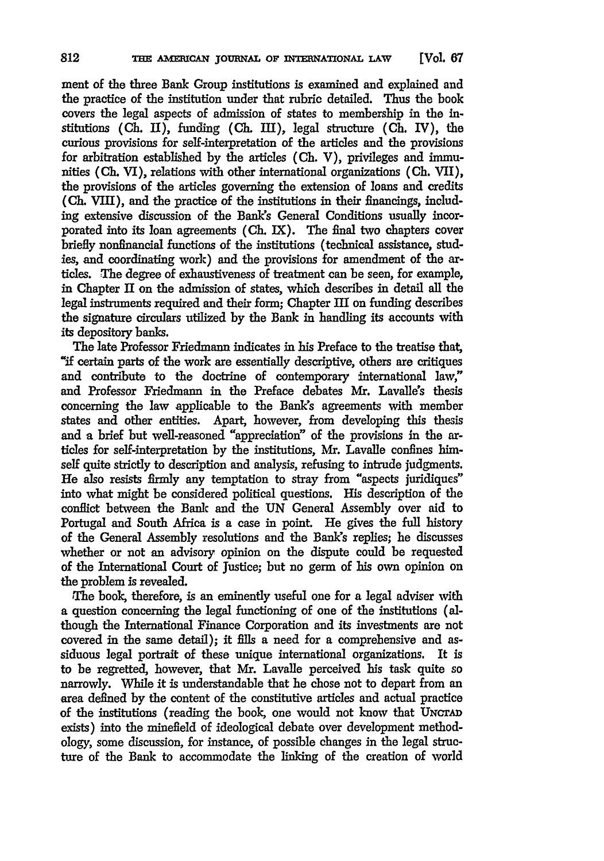ment of the three Bank Group institutions is examined and explained and the practice of the institution under that rubric detailed. Thus the book covers the legal aspects of admission of states to membership in the institutions **(Ch. 11),** funding **(Ch.** III), legal structure **(Ch.** IV), the curious provisions for self-interpretation of the articles and the provisions for arbitration established **by** the articles **(Ch.** V), privileges and immunities **(Ch.** VI), relations with other international organizations **(Ch.** VII), the provisions of the articles governing the extension of loans and credits **(Ch.** VIII), and the practice of the institutions in their financings, including extensive discussion of the Bank's General Conditions usually incorporated into its loan agreements **(Ch.** IX). The final two chapters cover briefly nonfinancial functions of the institutions (technical assistance, studies, and coordinating work) and the provisions for amendment of the articles. The degree of exhaustiveness of treatment can be seen, for example, in Chapter II on the admission of states, which describes in detail all the legal instruments required and their form; Chapter III on funding describes the signature circulars utilized by the Bank in handling its accounts with its depository banks.

The late Professor Friedmann indicates in his Preface to the treatise that, **"if** certain parts of the work are essentially descriptive, others are critiques and contribute to the doctrine of contemporary international law," and Professor Friedmann in the Preface debates **Mr.** Lavalle's thesis concerning the law applicable to the Bank's agreements with member states and other entities. Apart, however, from developing this thesis and a brief but well-reasoned "appreciation" of the provisions in the articles for self-interpretation **by** the institutions, **Mr.** Lavalle confines himself quite strictly to description and analysis, refusing to intrude judgments. He also resists firmly any temptation to stray from "aspects juridiques" into what might be considered political questions. His description of the conflict between the Bank and the **UN** General Assembly over aid to Portugal and South Africa is a case in point. He gives the full history of the General Assembly resolutions and the Bank's replies; he discusses whether or not an advisory opinion on the dispute could be requested of the International Court of Justice; but no germ of his own opinion on the problem is revealed.

The book, therefore, is an eminently useful one for a legal adviser with a question concerning the legal functioning of one of the institutions (although the International Finance Corporation and its investments are not covered in the same detail); it fills a need for a comprehensive and assiduous legal portrait of these unique international organizations. It is to be regretted, however, that Mr. Lavalle perceived his task quite so narrowly. While it is understandable that he chose not to depart from an area defined **by** the content of the constitutive articles and actual practice of the institutions (reading the book, one would not know that UNcrAD exists) into the minefield of ideological debate over development methodology, some discussion, for instance, of possible changes in the legal structure of the Bank to accommodate the linking of the creation of world